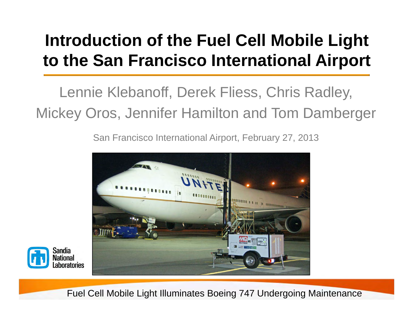## **Introduction of the Fuel Cell Mobile Light to the San Francisco International Airport**

Lennie Klebanoff, Derek Fliess, Chris Radley, Mickey Oros, Jennifer Hamilton and Tom Damberger

San Francisco International Airport, February 27, 2013





Fuel Cell Mobile Light Illuminates Boeing 747 Undergoing Maintenance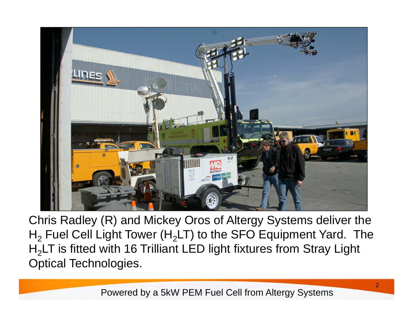

Chris Radley (R) and Mickey Oros of Altergy Systems deliver the  $\mathsf{H}_2$  Fuel Cell Light Tower ( $\mathsf{H}_2$ LT) to the SFO Equipment Yard. The H<sub>2</sub>LT is fitted with 16 Trilliant LED light fixtures from Stray Light Optical Technologies.

Powered by a 5kW PEM Fuel Cell from Altergy Systems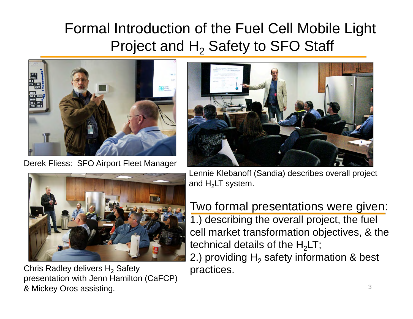## Formal Introduction of the Fuel Cell Mobile Light Project and  $\mathsf{H}_2$  Safety to SFO Staff



Derek Fliess: SFO Airport Fleet Manager



Chris Radley delivers  ${\sf H_2}$  Safety presentation with Jenn Hamilton (CaFCP) & Mickey Oros assisting.



Lennie Klebanoff (Sandia) describes overall project and  ${\sf H_2}$ LT system.

Two formal presentations were given: 1.) describing the overall project, the fuel cell market transformation objectives, & the technical details of the  ${\sf H_2LT};$ 

2.) providing  ${\sf H}_2$  safety information & best practices.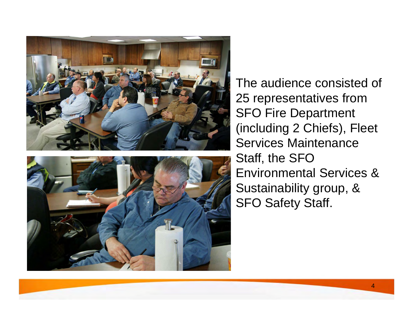



The audience consisted of 25 representatives from SFO Fire Department (including 2 Chiefs), Fleet Services Maintenance Staff, the SFO Environmental Services & Sustainability group, & SFO Safety Staff.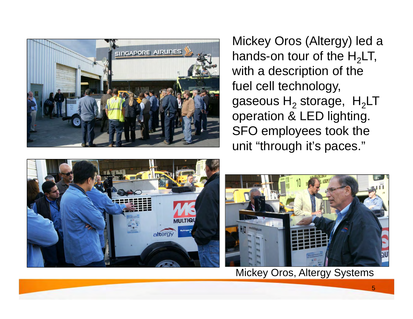

Mickey Oros (Altergy) led a hands-on tour of the  ${\sf H_2LT},$ with a description of the fuel cell technology, gaseous  ${\sf H_2}$  storage,  $\, {\sf H_2}$ LT  $\,$ operation & LED lighting. SFO employees took the unit "through it's paces."





Mickey Oros, Altergy Systems